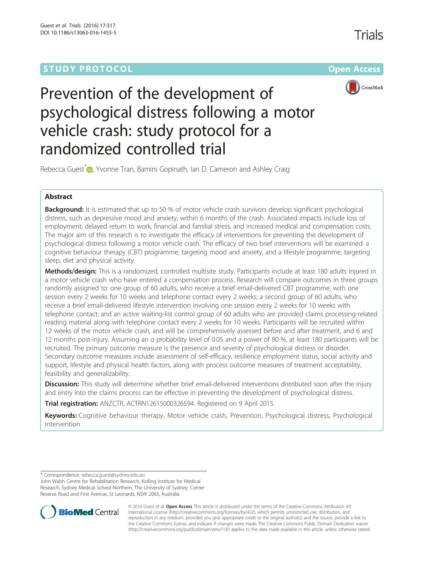## **STUDY PROTOCOL CONSUMING THE RESERVE ACCESS**



# Prevention of the development of psychological distress following a motor vehicle crash: study protocol for a randomized controlled trial

Rebecca Guest<sup>[\\*](http://orcid.org/0000-0002-9726-7427)</sup> <sub>(D</sub>, Yvonne Tran, Bamini Gopinath, Ian D. Cameron and Ashley Craig

### Abstract

**Background:** It is estimated that up to 50 % of motor vehicle crash survivors develop significant psychological distress, such as depressive mood and anxiety, within 6 months of the crash. Associated impacts include loss of employment, delayed return to work, financial and familial stress, and increased medical and compensation costs. The major aim of this research is to investigate the efficacy of interventions for preventing the development of psychological distress following a motor vehicle crash. The efficacy of two brief interventions will be examined: a cognitive behaviour therapy (CBT) programme, targeting mood and anxiety, and a lifestyle programme, targeting sleep, diet and physical activity.

Methods/design: This is a randomized, controlled multisite study. Participants include at least 180 adults injured in a motor vehicle crash who have entered a compensation process. Research will compare outcomes in three groups randomly assigned to: one group of 60 adults, who receive a brief email-delivered CBT programme, with one session every 2 weeks for 10 weeks and telephone contact every 2 weeks; a second group of 60 adults, who receive a brief email-delivered lifestyle intervention involving one session every 2 weeks for 10 weeks with telephone contact; and an active waiting-list control group of 60 adults who are provided claims processing-related reading material along with telephone contact every 2 weeks for 10 weeks. Participants will be recruited within 12 weeks of the motor vehicle crash, and will be comprehensively assessed before and after treatment, and 6 and 12 months post-injury. Assuming an α probability level of 0.05 and a power of 80 %, at least 180 participants will be recruited. The primary outcome measure is the presence and severity of psychological distress or disorder. Secondary outcome measures include assessment of self-efficacy, resilience employment status, social activity and support, lifestyle and physical health factors, along with process outcome measures of treatment acceptability, feasibility and generalizability.

Discussion: This study will determine whether brief email-delivered interventions distributed soon after the injury and entry into the claims process can be effective in preventing the development of psychological distress.

Trial registration: ANZCTR, [ACTRN12615000326594](https://www.anzctr.org.au/Trial/Registration/TrialReview.aspx?id=368141). Registered on 9 April 2015.

Keywords: Cognitive behaviour therapy, Motor vehicle crash, Prevention, Psychological distress, Psychological intervention

\* Correspondence: [rebecca.guest@sydney.edu.au](mailto:rebecca.guest@sydney.edu.au)

John Walsh Centre for Rehabilitation Research, Kolling Institute for Medical Research, Sydney Medical School-Northern, The University of Sydney, Corner Reserve Road and First Avenue, St Leonards, NSW 2065, Australia



© 2016 Guest et al. Open Access This article is distributed under the terms of the Creative Commons Attribution 4.0 International License [\(http://creativecommons.org/licenses/by/4.0/](http://creativecommons.org/licenses/by/4.0/)), which permits unrestricted use, distribution, and reproduction in any medium, provided you give appropriate credit to the original author(s) and the source, provide a link to the Creative Commons license, and indicate if changes were made. The Creative Commons Public Domain Dedication waiver [\(http://creativecommons.org/publicdomain/zero/1.0/](http://creativecommons.org/publicdomain/zero/1.0/)) applies to the data made available in this article, unless otherwise stated.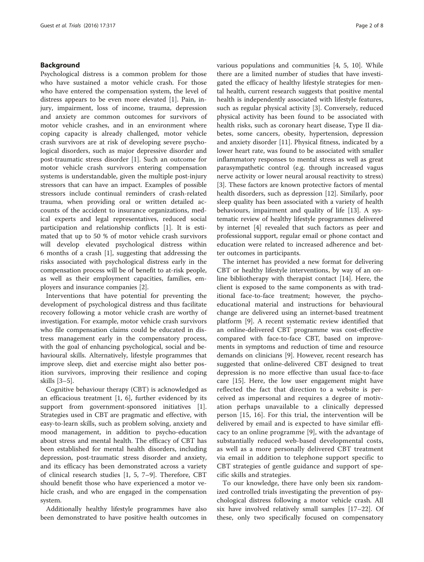#### Background

Psychological distress is a common problem for those who have sustained a motor vehicle crash. For those who have entered the compensation system, the level of distress appears to be even more elevated [[1\]](#page-7-0). Pain, injury, impairment, loss of income, trauma, depression and anxiety are common outcomes for survivors of motor vehicle crashes, and in an environment where coping capacity is already challenged, motor vehicle crash survivors are at risk of developing severe psychological disorders, such as major depressive disorder and post-traumatic stress disorder [[1\]](#page-7-0). Such an outcome for motor vehicle crash survivors entering compensation systems is understandable, given the multiple post-injury stressors that can have an impact. Examples of possible stressors include continual reminders of crash-related trauma, when providing oral or written detailed accounts of the accident to insurance organizations, medical experts and legal representatives, reduced social participation and relationship conflicts [[1](#page-7-0)]. It is estimated that up to 50 % of motor vehicle crash survivors will develop elevated psychological distress within 6 months of a crash [[1\]](#page-7-0), suggesting that addressing the risks associated with psychological distress early in the compensation process will be of benefit to at-risk people, as well as their employment capacities, families, employers and insurance companies [[2\]](#page-7-0).

Interventions that have potential for preventing the development of psychological distress and thus facilitate recovery following a motor vehicle crash are worthy of investigation. For example, motor vehicle crash survivors who file compensation claims could be educated in distress management early in the compensatory process, with the goal of enhancing psychological, social and behavioural skills. Alternatively, lifestyle programmes that improve sleep, diet and exercise might also better position survivors, improving their resilience and coping skills [[3](#page-7-0)–[5\]](#page-7-0).

Cognitive behaviour therapy (CBT) is acknowledged as an efficacious treatment [[1, 6\]](#page-7-0), further evidenced by its support from government-sponsored initiatives [\[1](#page-7-0)]. Strategies used in CBT are pragmatic and effective, with easy-to-learn skills, such as problem solving, anxiety and mood management, in addition to psycho-education about stress and mental health. The efficacy of CBT has been established for mental health disorders, including depression, post-traumatic stress disorder and anxiety, and its efficacy has been demonstrated across a variety of clinical research studies [\[1](#page-7-0), [5, 7](#page-7-0)–[9\]](#page-7-0). Therefore, CBT should benefit those who have experienced a motor vehicle crash, and who are engaged in the compensation system.

Additionally healthy lifestyle programmes have also been demonstrated to have positive health outcomes in various populations and communities [\[4, 5, 10\]](#page-7-0). While there are a limited number of studies that have investigated the efficacy of healthy lifestyle strategies for mental health, current research suggests that positive mental health is independently associated with lifestyle features, such as regular physical activity [\[3\]](#page-7-0). Conversely, reduced physical activity has been found to be associated with health risks, such as coronary heart disease, Type II diabetes, some cancers, obesity, hypertension, depression and anxiety disorder [\[11\]](#page-7-0). Physical fitness, indicated by a lower heart rate, was found to be associated with smaller inflammatory responses to mental stress as well as great parasympathetic control (e.g. through increased vagus nerve activity or lower neural arousal reactivity to stress) [[3\]](#page-7-0). These factors are known protective factors of mental health disorders, such as depression [[12\]](#page-7-0). Similarly, poor sleep quality has been associated with a variety of health behaviours, impairment and quality of life [[13\]](#page-7-0). A systematic review of healthy lifestyle programmes delivered by internet [\[4](#page-7-0)] revealed that such factors as peer and professional support, regular email or phone contact and education were related to increased adherence and better outcomes in participants.

The internet has provided a new format for delivering CBT or healthy lifestyle interventions, by way of an online bibliotherapy with therapist contact [\[14](#page-7-0)]. Here, the client is exposed to the same components as with traditional face-to-face treatment; however, the psychoeducational material and instructions for behavioural change are delivered using an internet-based treatment platform [\[9](#page-7-0)]. A recent systematic review identified that an online-delivered CBT programme was cost-effective compared with face-to-face CBT, based on improvements in symptoms and reduction of time and resource demands on clinicians [\[9](#page-7-0)]. However, recent research has suggested that online-delivered CBT designed to treat depression is no more effective than usual face-to-face care [[15\]](#page-7-0). Here, the low user engagement might have reflected the fact that direction to a website is perceived as impersonal and requires a degree of motivation perhaps unavailable to a clinically depressed person [\[15](#page-7-0), [16\]](#page-7-0). For this trial, the intervention will be delivered by email and is expected to have similar efficacy to an online programme [[9\]](#page-7-0), with the advantage of substantially reduced web-based developmental costs, as well as a more personally delivered CBT treatment via email in addition to telephone support specific to CBT strategies of gentle guidance and support of specific skills and strategies.

To our knowledge, there have only been six randomized controlled trials investigating the prevention of psychological distress following a motor vehicle crash. All six have involved relatively small samples [\[17](#page-7-0)–[22\]](#page-7-0). Of these, only two specifically focused on compensatory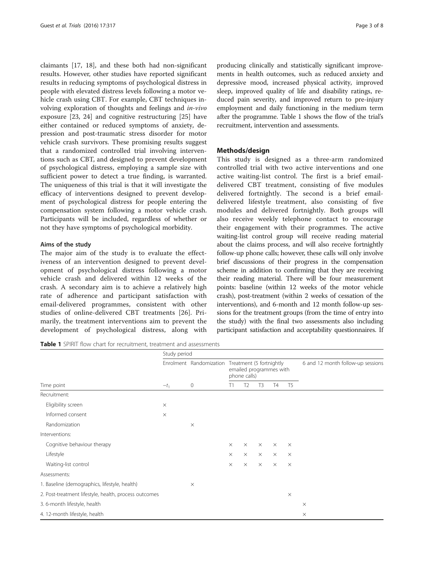claimants [[17](#page-7-0), [18](#page-7-0)], and these both had non-significant results. However, other studies have reported significant results in reducing symptoms of psychological distress in people with elevated distress levels following a motor vehicle crash using CBT. For example, CBT techniques involving exploration of thoughts and feelings and in-vivo exposure [[23, 24\]](#page-7-0) and cognitive restructuring [[25\]](#page-7-0) have either contained or reduced symptoms of anxiety, depression and post-traumatic stress disorder for motor vehicle crash survivors. These promising results suggest that a randomized controlled trial involving interventions such as CBT, and designed to prevent development of psychological distress, employing a sample size with sufficient power to detect a true finding, is warranted. The uniqueness of this trial is that it will investigate the efficacy of interventions designed to prevent development of psychological distress for people entering the compensation system following a motor vehicle crash. Participants will be included, regardless of whether or not they have symptoms of psychological morbidity.

#### Aims of the study

The major aim of the study is to evaluate the effectiveness of an intervention designed to prevent development of psychological distress following a motor vehicle crash and delivered within 12 weeks of the crash. A secondary aim is to achieve a relatively high rate of adherence and participant satisfaction with email-delivered programmes, consistent with other studies of online-delivered CBT treatments [\[26](#page-7-0)]. Primarily, the treatment interventions aim to prevent the development of psychological distress, along with

Table 1 SPIRIT flow chart for recruitment, treatment and assessments

producing clinically and statistically significant improvements in health outcomes, such as reduced anxiety and depressive mood, increased physical activity, improved sleep, improved quality of life and disability ratings, reduced pain severity, and improved return to pre-injury employment and daily functioning in the medium term after the programme. Table 1 shows the flow of the trial's recruitment, intervention and assessments.

#### Methods/design

This study is designed as a three-arm randomized controlled trial with two active interventions and one active waiting-list control. The first is a brief emaildelivered CBT treatment, consisting of five modules delivered fortnightly. The second is a brief emaildelivered lifestyle treatment, also consisting of five modules and delivered fortnightly. Both groups will also receive weekly telephone contact to encourage their engagement with their programmes. The active waiting-list control group will receive reading material about the claims process, and will also receive fortnightly follow-up phone calls; however, these calls will only involve brief discussions of their progress in the compensation scheme in addition to confirming that they are receiving their reading material. There will be four measurement points: baseline (within 12 weeks of the motor vehicle crash), post-treatment (within 2 weeks of cessation of the interventions), and 6-month and 12 month follow-up sessions for the treatment groups (from the time of entry into the study) with the final two assessments also including participant satisfaction and acceptability questionnaires. If

|                                                       | Study period |                              |                                                                     |                |                |                |                |                                   |  |
|-------------------------------------------------------|--------------|------------------------------|---------------------------------------------------------------------|----------------|----------------|----------------|----------------|-----------------------------------|--|
|                                                       | $-t_1$       | Enrolment Randomization<br>0 | Treatment (5 fortnightly<br>emailed programmes with<br>phone calls) |                |                |                |                | 6 and 12 month follow-up sessions |  |
| Time point                                            |              |                              | Τ1                                                                  | T <sub>2</sub> | T <sub>3</sub> | T <sub>4</sub> | T <sub>5</sub> |                                   |  |
| Recruitment:                                          |              |                              |                                                                     |                |                |                |                |                                   |  |
| Eligibility screen                                    | $\times$     |                              |                                                                     |                |                |                |                |                                   |  |
| Informed consent                                      | $\times$     |                              |                                                                     |                |                |                |                |                                   |  |
| Randomization                                         |              | $\times$                     |                                                                     |                |                |                |                |                                   |  |
| Interventions:                                        |              |                              |                                                                     |                |                |                |                |                                   |  |
| Cognitive behaviour therapy                           |              |                              | $\times$                                                            | $\times$       | $\times$       | $\times$       | $\times$       |                                   |  |
| Lifestyle                                             |              |                              | $\times$                                                            | $\times$       | $\times$       | $\times$       | $\times$       |                                   |  |
| Waiting-list control                                  |              |                              | $\times$                                                            | $\times$       | $\times$       | $\times$       | $\times$       |                                   |  |
| Assessments:                                          |              |                              |                                                                     |                |                |                |                |                                   |  |
| 1. Baseline (demographics, lifestyle, health)         |              | $\times$                     |                                                                     |                |                |                |                |                                   |  |
| 2. Post-treatment lifestyle, health, process outcomes |              |                              |                                                                     |                |                |                | $\times$       |                                   |  |
| 3. 6-month lifestyle, health                          |              |                              |                                                                     |                |                |                |                | $\times$                          |  |
| 4. 12-month lifestyle, health                         |              |                              |                                                                     |                |                |                |                | $\times$                          |  |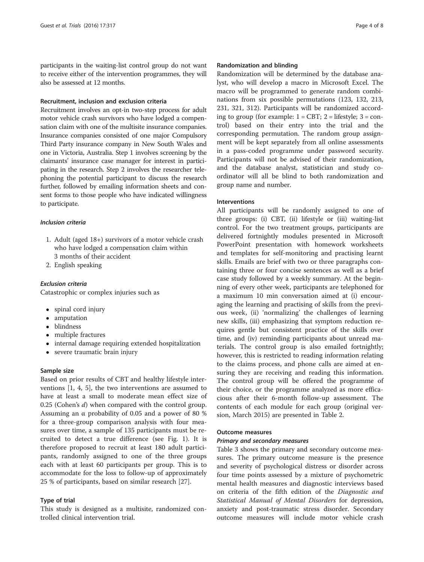participants in the waiting-list control group do not want to receive either of the intervention programmes, they will also be assessed at 12 months.

#### Recruitment, inclusion and exclusion criteria

Recruitment involves an opt-in two-step process for adult motor vehicle crash survivors who have lodged a compensation claim with one of the multisite insurance companies. Insurance companies consisted of one major Compulsory Third Party insurance company in New South Wales and one in Victoria, Australia. Step 1 involves screening by the claimants' insurance case manager for interest in participating in the research. Step 2 involves the researcher telephoning the potential participant to discuss the research further, followed by emailing information sheets and consent forms to those people who have indicated willingness to participate.

#### Inclusion criteria

- 1. Adult (aged 18+) survivors of a motor vehicle crash who have lodged a compensation claim within 3 months of their accident
- 2. English speaking

#### Exclusion criteria

Catastrophic or complex injuries such as

- spinal cord injury
- amputation
- blindness
- multiple fractures
- internal damage requiring extended hospitalization
- severe traumatic brain injury

#### Sample size

Based on prior results of CBT and healthy lifestyle interventions [\[1, 4, 5\]](#page-7-0), the two interventions are assumed to have at least a small to moderate mean effect size of 0.25 (Cohen's d) when compared with the control group. Assuming an  $\alpha$  probability of 0.05 and a power of 80 % for a three-group comparison analysis with four measures over time, a sample of 135 participants must be recruited to detect a true difference (see Fig. [1\)](#page-4-0). It is therefore proposed to recruit at least 180 adult participants, randomly assigned to one of the three groups each with at least 60 participants per group. This is to accommodate for the loss to follow-up of approximately 25 % of participants, based on similar research [[27\]](#page-7-0).

#### Type of trial

This study is designed as a multisite, randomized controlled clinical intervention trial.

#### Randomization and blinding

Randomization will be determined by the database analyst, who will develop a macro in Microsoft Excel. The macro will be programmed to generate random combinations from six possible permutations (123, 132, 213, 231, 321, 312). Participants will be randomized according to group (for example:  $1 = \text{CBT}$ ;  $2 = \text{liftstyle}$ ;  $3 = \text{con-}$ trol) based on their entry into the trial and the corresponding permutation. The random group assignment will be kept separately from all online assessments in a pass-coded programme under password security. Participants will not be advised of their randomization, and the database analyst, statistician and study coordinator will all be blind to both randomization and group name and number.

#### Interventions

All participants will be randomly assigned to one of three groups: (i) CBT, (ii) lifestyle or (iii) waiting-list control. For the two treatment groups, participants are delivered fortnightly modules presented in Microsoft PowerPoint presentation with homework worksheets and templates for self-monitoring and practising learnt skills. Emails are brief with two or three paragraphs containing three or four concise sentences as well as a brief case study followed by a weekly summary. At the beginning of every other week, participants are telephoned for a maximum 10 min conversation aimed at (i) encouraging the learning and practising of skills from the previous week, (ii) 'normalizing' the challenges of learning new skills, (iii) emphasizing that symptom reduction requires gentle but consistent practice of the skills over time, and (iv) reminding participants about unread materials. The control group is also emailed fortnightly; however, this is restricted to reading information relating to the claims process, and phone calls are aimed at ensuring they are receiving and reading this information. The control group will be offered the programme of their choice, or the programme analyzed as more efficacious after their 6-month follow-up assessment. The contents of each module for each group (original version, March 2015) are presented in Table [2](#page-4-0).

#### Outcome measures

#### Primary and secondary measures

Table [3](#page-5-0) shows the primary and secondary outcome measures. The primary outcome measure is the presence and severity of psychological distress or disorder across four time points assessed by a mixture of psychometric mental health measures and diagnostic interviews based on criteria of the fifth edition of the Diagnostic and Statistical Manual of Mental Disorders for depression, anxiety and post-traumatic stress disorder. Secondary outcome measures will include motor vehicle crash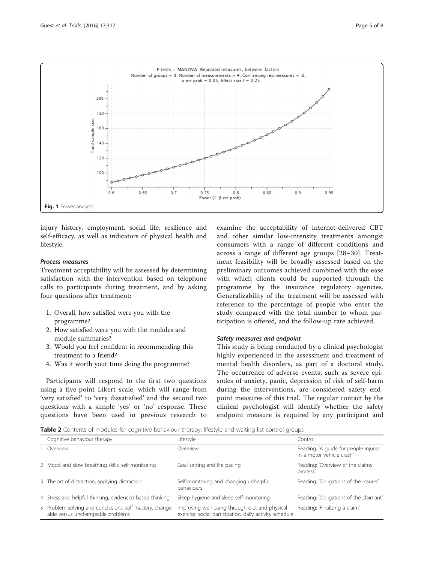<span id="page-4-0"></span>

injury history, employment, social life, resilience and self-efficacy, as well as indicators of physical health and lifestyle.

#### Process measures

Treatment acceptability will be assessed by determining satisfaction with the intervention based on telephone calls to participants during treatment, and by asking four questions after treatment:

- 1. Overall, how satisfied were you with the programme?
- 2. How satisfied were you with the modules and module summaries?
- 3. Would you feel confident in recommending this treatment to a friend?
- 4. Was it worth your time doing the programme?

Participants will respond to the first two questions using a five-point Likert scale, which will range from 'very satisfied' to 'very dissatisfied' and the second two questions with a simple 'yes' or 'no' response. These questions have been used in previous research to

examine the acceptability of internet-delivered CBT and other similar low-intensity treatments amongst consumers with a range of different conditions and across a range of different age groups [[28](#page-7-0)–[30\]](#page-7-0). Treatment feasibility will be broadly assessed based on the preliminary outcomes achieved combined with the ease with which clients could be supported through the programme by the insurance regulatory agencies. Generalizability of the treatment will be assessed with reference to the percentage of people who enter the study compared with the total number to whom participation is offered, and the follow-up rate achieved.

#### Safety measures and endpoint

This study is being conducted by a clinical psychologist highly experienced in the assessment and treatment of mental health disorders, as part of a doctoral study. The occurrence of adverse events, such as severe episodes of anxiety, panic, depression of risk of self-harm during the interventions, are considered safety endpoint measures of this trial. The regular contact by the clinical psychologist will identify whether the safety endpoint measure is required by any participant and

Table 2 Contents of modules for cognitive behaviour therapy, lifestyle and waiting-list control groups

| Cognitive behaviour therapy                                                                   | Lifestyle                                                                                                 | Control                                                           |
|-----------------------------------------------------------------------------------------------|-----------------------------------------------------------------------------------------------------------|-------------------------------------------------------------------|
| Overview                                                                                      | Overview                                                                                                  | Reading: 'A guide for people injured<br>in a motor vehicle crash' |
| 2 Mood and slow breathing skills, self-monitoring                                             | Goal setting and life pacing                                                                              | Reading: 'Overview of the claims<br>process'                      |
| 3 The art of distraction, applying distraction                                                | Self-monitoring and changing unhelpful<br>behaviours                                                      | Reading: 'Obligations of the insurer'                             |
| 4 Stress and helpful thinking, evidenced-based thinking                                       | Sleep hygiene and sleep self-monitoring                                                                   | Reading: 'Obligations of the claimant'                            |
| 5 Problem solving and conclusions, self-mastery, change-<br>able versus unchangeable problems | Improving well-being through diet and physical<br>exercise, social participation, daily activity schedule | Reading: 'Finalizing a claim'                                     |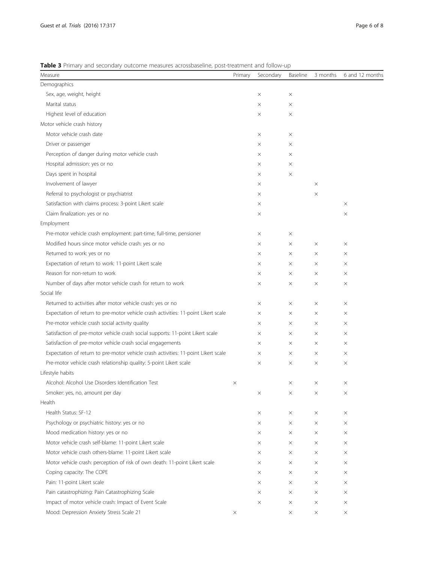<span id="page-5-0"></span>

| Table 3 Primary and secondary outcome measures acrossbaseline, post-treatment and follow-up |  |  |  |  |  |
|---------------------------------------------------------------------------------------------|--|--|--|--|--|
|---------------------------------------------------------------------------------------------|--|--|--|--|--|

| Measure                                                                            | Primary  | Secondary | Baseline | 3 months | 6 and 12 months |
|------------------------------------------------------------------------------------|----------|-----------|----------|----------|-----------------|
| Demographics                                                                       |          |           |          |          |                 |
| Sex, age, weight, height                                                           |          | X         | $\times$ |          |                 |
| Marital status                                                                     |          | X         | ×        |          |                 |
| Highest level of education                                                         |          | ×         | $\times$ |          |                 |
| Motor vehicle crash history                                                        |          |           |          |          |                 |
| Motor vehicle crash date                                                           |          | X         | $\times$ |          |                 |
| Driver or passenger                                                                |          | X         | $\times$ |          |                 |
| Perception of danger during motor vehicle crash                                    |          | X         | X        |          |                 |
| Hospital admission: yes or no                                                      |          | X         | $\times$ |          |                 |
| Days spent in hospital                                                             |          | ×         | $\times$ |          |                 |
| Involvement of lawyer                                                              |          | X         |          | $\times$ |                 |
| Referral to psychologist or psychiatrist                                           |          | X         |          | $\times$ |                 |
| Satisfaction with claims process: 3-point Likert scale                             |          | ×         |          |          | $\times$        |
| Claim finalization: yes or no                                                      |          | X         |          |          | X               |
| Employment                                                                         |          |           |          |          |                 |
| Pre-motor vehicle crash employment: part-time, full-time, pensioner                |          | X         | $\times$ |          |                 |
| Modified hours since motor vehicle crash: yes or no                                |          | X         | ×        | $\times$ | X               |
| Returned to work: yes or no                                                        |          | X         | ×        | $\times$ | X               |
| Expectation of return to work: 11-point Likert scale                               |          | X         | $\times$ | $\times$ | $\times$        |
| Reason for non-return to work                                                      |          | X         | ×        | $\times$ | X               |
| Number of days after motor vehicle crash for return to work                        |          | $\times$  | X        | $\times$ | $\times$        |
| Social life                                                                        |          |           |          |          |                 |
| Returned to activities after motor vehicle crash: yes or no                        |          | X         | ×        | $\times$ | X               |
| Expectation of return to pre-motor vehicle crash activities: 11-point Likert scale |          | X         | ×        | $\times$ | X               |
| Pre-motor vehicle crash social activity quality                                    |          | $\times$  | $\times$ | $\times$ | $\times$        |
| Satisfaction of pre-motor vehicle crash social supports: 11-point Likert scale     |          | X         | ×        | $\times$ | X               |
| Satisfaction of pre-motor vehicle crash social engagements                         |          | X         | ×        | $\times$ | X               |
| Expectation of return to pre-motor vehicle crash activities: 11-point Likert scale |          | $\times$  | $\times$ | $\times$ | X               |
| Pre-motor vehicle crash relationship quality: 5-point Likert scale                 |          | $\times$  | ×        | $\times$ | X               |
| Lifestyle habits                                                                   |          |           |          |          |                 |
| Alcohol: Alcohol Use Disorders Identification Test                                 | $\times$ |           | $\times$ | $\times$ | $\times$        |
| Smoker: yes, no, amount per day                                                    |          | $\times$  | ×        | $\times$ | X               |
| Health                                                                             |          |           |          |          |                 |
| Health Status: SF-12                                                               |          | $\times$  | $\times$ | $\times$ | $\times$        |
| Psychology or psychiatric history: yes or no                                       |          | X         | ×        | $\times$ | X               |
| Mood medication history: yes or no                                                 |          | X         | $\times$ | $\times$ | X               |
| Motor vehicle crash self-blame: 11-point Likert scale                              |          | X         | $\times$ | $\times$ | $\times$        |
| Motor vehicle crash others-blame: 11-point Likert scale                            |          | X         | ×        | $\times$ | $\times$        |
| Motor vehicle crash: perception of risk of own death: 11-point Likert scale        |          | $\times$  | ×        | $\times$ | X               |
| Coping capacity: The COPE                                                          |          | X         | $\times$ | $\times$ | $\times$        |
| Pain: 11-point Likert scale                                                        |          | X         | ×        | $\times$ | X               |
| Pain catastrophizing: Pain Catastrophizing Scale                                   |          | X         | $\times$ | $\times$ | X               |
| Impact of motor vehicle crash: Impact of Event Scale                               |          | X         | $\times$ | $\times$ | $\times$        |
| Mood: Depression Anxiety Stress Scale 21                                           | $\times$ |           | X        | $\times$ | $\times$        |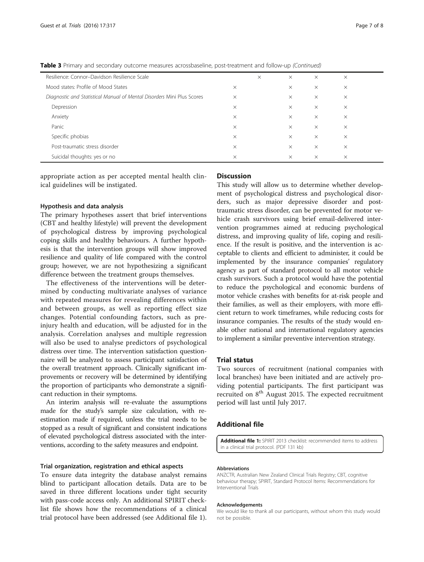| Resilience: Connor-Davidson Resilience Scale                           |          | $\times$ | $\times$ | $\times$ | $\times$ |  |
|------------------------------------------------------------------------|----------|----------|----------|----------|----------|--|
| Mood states: Profile of Mood States                                    | $\times$ |          | $\times$ | $\times$ | $\times$ |  |
| Diagnostic and Statistical Manual of Mental Disorders Mini Plus Scores | $\times$ |          | $\times$ | $\times$ | $\times$ |  |
| Depression                                                             | $\times$ |          | $\times$ | $\times$ | $\times$ |  |
| Anxiety                                                                | $\times$ |          | $\times$ | $\times$ | $\times$ |  |
| Panic                                                                  | $\times$ |          | $\times$ | $\times$ | $\times$ |  |
| Specific phobias                                                       | $\times$ |          | $\times$ | $\times$ | $\times$ |  |
| Post-traumatic stress disorder                                         | $\times$ |          | $\times$ | $\times$ | $\times$ |  |
| Suicidal thoughts: yes or no                                           | $\times$ |          | $\times$ | $\times$ | $\times$ |  |

Table 3 Primary and secondary outcome measures acrossbaseline, post-treatment and follow-up (Continued)

appropriate action as per accepted mental health clinical guidelines will be instigated.

#### Hypothesis and data analysis

The primary hypotheses assert that brief interventions (CBT and healthy lifestyle) will prevent the development of psychological distress by improving psychological coping skills and healthy behaviours. A further hypothesis is that the intervention groups will show improved resilience and quality of life compared with the control group; however, we are not hypothesizing a significant difference between the treatment groups themselves.

The effectiveness of the interventions will be determined by conducting multivariate analyses of variance with repeated measures for revealing differences within and between groups, as well as reporting effect size changes. Potential confounding factors, such as preinjury health and education, will be adjusted for in the analysis. Correlation analyses and multiple regression will also be used to analyse predictors of psychological distress over time. The intervention satisfaction questionnaire will be analyzed to assess participant satisfaction of the overall treatment approach. Clinically significant improvements or recovery will be determined by identifying the proportion of participants who demonstrate a significant reduction in their symptoms.

An interim analysis will re-evaluate the assumptions made for the study's sample size calculation, with reestimation made if required, unless the trial needs to be stopped as a result of significant and consistent indications of elevated psychological distress associated with the interventions, according to the safety measures and endpoint.

#### Trial organization, registration and ethical aspects

To ensure data integrity the database analyst remains blind to participant allocation details. Data are to be saved in three different locations under tight security with pass-code access only. An additional SPIRIT checklist file shows how the recommendations of a clinical trial protocol have been addressed (see Additional file 1).

#### **Discussion**

This study will allow us to determine whether development of psychological distress and psychological disorders, such as major depressive disorder and posttraumatic stress disorder, can be prevented for motor vehicle crash survivors using brief email-delivered intervention programmes aimed at reducing psychological distress, and improving quality of life, coping and resilience. If the result is positive, and the intervention is acceptable to clients and efficient to administer, it could be implemented by the insurance companies' regulatory agency as part of standard protocol to all motor vehicle crash survivors. Such a protocol would have the potential to reduce the psychological and economic burdens of motor vehicle crashes with benefits for at-risk people and their families, as well as their employers, with more efficient return to work timeframes, while reducing costs for insurance companies. The results of the study would enable other national and international regulatory agencies to implement a similar preventive intervention strategy.

#### Trial status

Two sources of recruitment (national companies with local branches) have been initiated and are actively providing potential participants. The first participant was recruited on  $8<sup>th</sup>$  August 2015. The expected recruitment period will last until July 2017.

#### Additional file

[Additional file 1:](dx.doi.org/10.1186/s13063-016-1455-5) SPIRIT 2013 checklist: recommended items to address in a clinical trial protocol. (PDF 131 kb)

#### Abbreviations

ANZCTR, Australian New Zealand Clinical Trials Registry; CBT, cognitive behaviour therapy; SPIRIT, Standard Protocol Items: Recommendations for Interventional Trials

#### Acknowledgements

We would like to thank all our participants, without whom this study would not be possible.